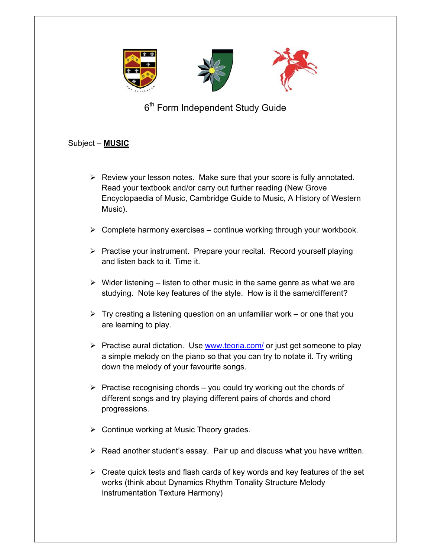

6<sup>th</sup> Form Independent Study Guide

## Subject – **MUSIC**

- $\triangleright$  Review your lesson notes. Make sure that your score is fully annotated. Read your textbook and/or carry out further reading (New Grove Encyclopaedia of Music, Cambridge Guide to Music, A History of Western Music).
- $\triangleright$  Complete harmony exercises continue working through your workbook.
- $\triangleright$  Practise your instrument. Prepare your recital. Record yourself playing and listen back to it. Time it.
- $\triangleright$  Wider listening listen to other music in the same genre as what we are studying. Note key features of the style. How is it the same/different?
- $\triangleright$  Try creating a listening question on an unfamiliar work or one that you are learning to play.
- $\triangleright$  Practise aural dictation. Use www.teoria.com/ or just get someone to play a simple melody on the piano so that you can try to notate it. Try writing down the melody of your favourite songs.
- $\triangleright$  Practise recognising chords you could try working out the chords of different songs and try playing different pairs of chords and chord progressions.
- $\triangleright$  Continue working at Music Theory grades.
- $\triangleright$  Read another student's essay. Pair up and discuss what you have written.
- $\triangleright$  Create quick tests and flash cards of key words and key features of the set works (think about Dynamics Rhythm Tonality Structure Melody Instrumentation Texture Harmony)